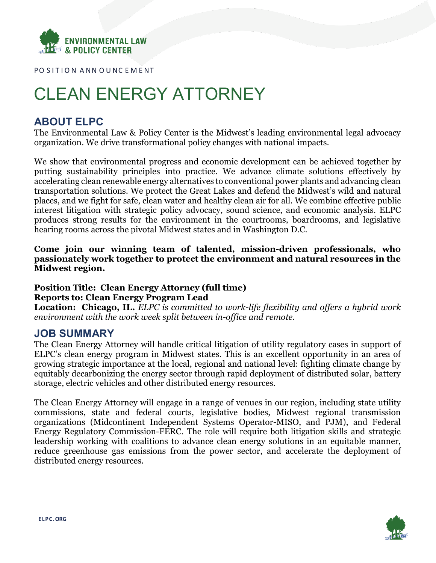

PO SITION ANN OUNCEMENT

# CLEAN ENERGY ATTORNEY

## **ABOUT ELPC**

The Environmental Law & Policy Center is the Midwest's leading environmental legal advocacy organization. We drive transformational policy changes with national impacts.

We show that environmental progress and economic development can be achieved together by putting sustainability principles into practice. We advance climate solutions effectively by accelerating clean renewable energy alternatives to conventional power plants and advancing clean transportation solutions. We protect the Great Lakes and defend the Midwest's wild and natural places, and we fight for safe, clean water and healthy clean air for all. We combine effective public interest litigation with strategic policy advocacy, sound science, and economic analysis. ELPC produces strong results for the environment in the courtrooms, boardrooms, and legislative hearing rooms across the pivotal Midwest states and in Washington D.C.

## **Come join our winning team of talented, mission-driven professionals, who passionately work together to protect the environment and natural resources in the Midwest region.**

## **Position Title: Clean Energy Attorney (full time) Reports to: Clean Energy Program Lead**

**Location: Chicago, IL.** *ELPC is committed to work-life flexibility and offers a hybrid work environment with the work week split between in-office and remote.*

## **JOB SUMMARY**

The Clean Energy Attorney will handle critical litigation of utility regulatory cases in support of ELPC's clean energy program in Midwest states. This is an excellent opportunity in an area of growing strategic importance at the local, regional and national level: fighting climate change by equitably decarbonizing the energy sector through rapid deployment of distributed solar, battery storage, electric vehicles and other distributed energy resources.

The Clean Energy Attorney will engage in a range of venues in our region, including state utility commissions, state and federal courts, legislative bodies, Midwest regional transmission organizations (Midcontinent Independent Systems Operator-MISO, and PJM), and Federal Energy Regulatory Commission-FERC. The role will require both litigation skills and strategic leadership working with coalitions to advance clean energy solutions in an equitable manner, reduce greenhouse gas emissions from the power sector, and accelerate the deployment of distributed energy resources.

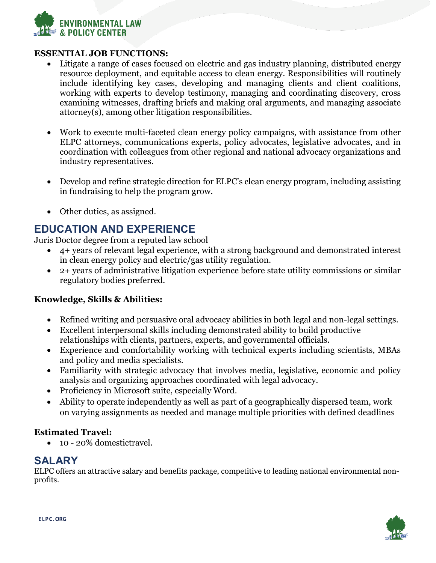

### **ESSENTIAL JOB FUNCTIONS:**

- Litigate a range of cases focused on electric and gas industry planning, distributed energy resource deployment, and equitable access to clean energy. Responsibilities will routinely include identifying key cases, developing and managing clients and client coalitions, working with experts to develop testimony, managing and coordinating discovery, cross examining witnesses, drafting briefs and making oral arguments, and managing associate attorney(s), among other litigation responsibilities.
- Work to execute multi-faceted clean energy policy campaigns, with assistance from other ELPC attorneys, communications experts, policy advocates, legislative advocates, and in coordination with colleagues from other regional and national advocacy organizations and industry representatives.
- Develop and refine strategic direction for ELPC's clean energy program, including assisting in fundraising to help the program grow.
- Other duties, as assigned.

# **EDUCATION AND EXPERIENCE**

Juris Doctor degree from a reputed law school

- 4+ years of relevant legal experience, with a strong background and demonstrated interest in clean energy policy and electric/gas utility regulation.
- 2+ years of administrative litigation experience before state utility commissions or similar regulatory bodies preferred.

## **Knowledge, Skills & Abilities:**

- Refined writing and persuasive oral advocacy abilities in both legal and non-legal settings.
- Excellent interpersonal skills including demonstrated ability to build productive relationships with clients, partners, experts, and governmental officials.
- Experience and comfortability working with technical experts including scientists, MBAs and policy and media specialists.
- Familiarity with strategic advocacy that involves media, legislative, economic and policy analysis and organizing approaches coordinated with legal advocacy.
- Proficiency in Microsoft suite, especially Word.
- Ability to operate independently as well as part of a geographically dispersed team, work on varying assignments as needed and manage multiple priorities with defined deadlines

## **Estimated Travel:**

• 10 - 20% domestictravel.

## **SALARY**

ELPC offers an attractive salary and benefits package, competitive to leading national environmental nonprofits.